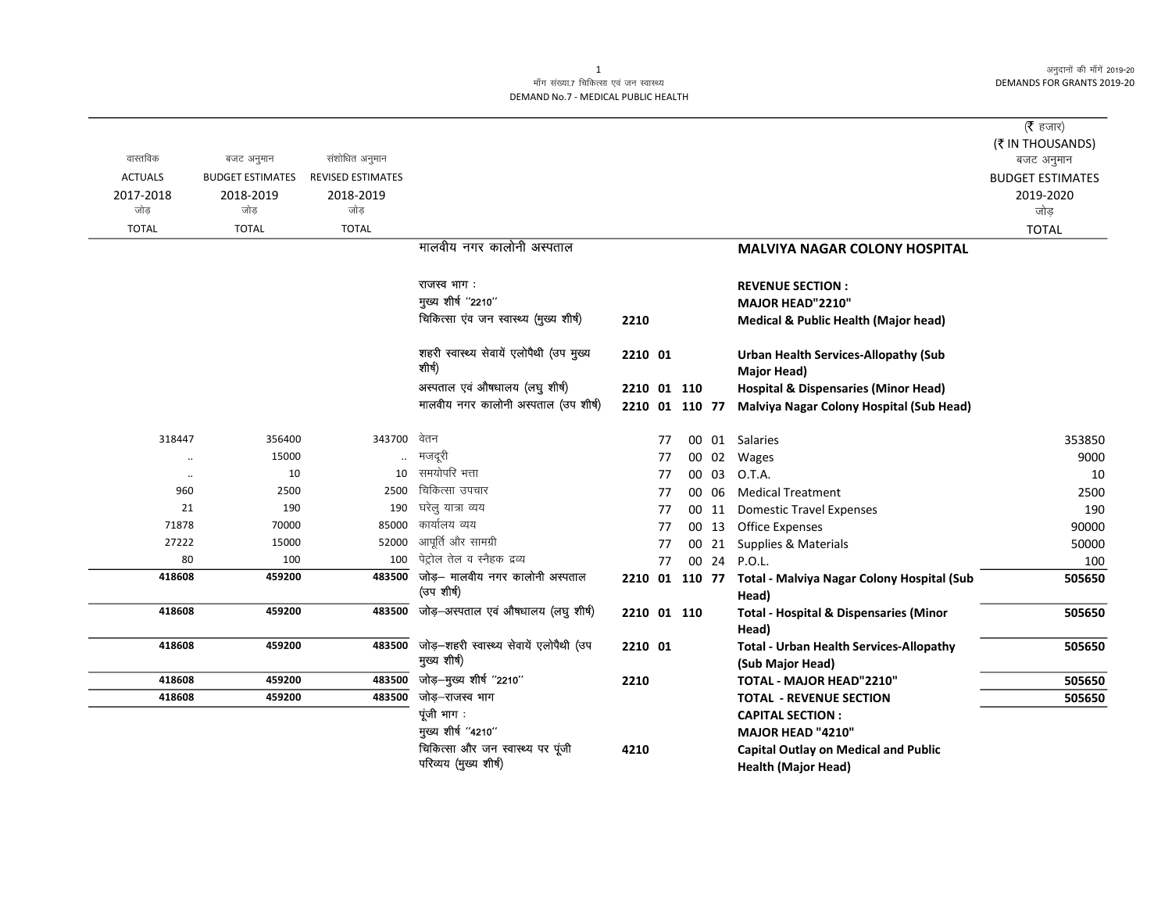अनुदानों की माँगें 2019-20 **DEMANDS FOR GRANTS 2019-20** 

## माँग संख्या.7 चिकित्सा एवं जन स्वास्थ्य DEMAND No.7 - MEDICAL PUBLIC HEALTH

|                |                         |                          |                                          |                |    |       |                                                            | ( $\bar{\tau}$ हजार)           |
|----------------|-------------------------|--------------------------|------------------------------------------|----------------|----|-------|------------------------------------------------------------|--------------------------------|
| वास्तविक       | बजट अनुमान              | संशोधित अनुमान           |                                          |                |    |       |                                                            | (₹ IN THOUSANDS)<br>बजट अनुमान |
| <b>ACTUALS</b> | <b>BUDGET ESTIMATES</b> | <b>REVISED ESTIMATES</b> |                                          |                |    |       |                                                            | <b>BUDGET ESTIMATES</b>        |
| 2017-2018      | 2018-2019               | 2018-2019                |                                          |                |    |       |                                                            | 2019-2020                      |
| जोड            | जोड                     | जोड                      |                                          |                |    |       |                                                            | जोड़                           |
| <b>TOTAL</b>   | <b>TOTAL</b>            | <b>TOTAL</b>             |                                          |                |    |       |                                                            | <b>TOTAL</b>                   |
|                |                         |                          | मालवीय नगर कालोनी अस्पताल                |                |    |       | <b>MALVIYA NAGAR COLONY HOSPITAL</b>                       |                                |
|                |                         |                          |                                          |                |    |       |                                                            |                                |
|                |                         |                          | राजस्व भाग:                              |                |    |       | <b>REVENUE SECTION:</b>                                    |                                |
|                |                         |                          | मुख्य शीर्ष "2210"                       |                |    |       | MAJOR HEAD"2210"                                           |                                |
|                |                         |                          | चिकित्सा एंव जन स्वास्थ्य (मुख्य शीर्ष)  | 2210           |    |       | <b>Medical &amp; Public Health (Major head)</b>            |                                |
|                |                         |                          |                                          |                |    |       |                                                            |                                |
|                |                         |                          | शहरी स्वास्थ्य सेवायें एलोपैथी (उप मुख्य | 2210 01        |    |       | <b>Urban Health Services-Allopathy (Sub</b>                |                                |
|                |                         |                          | शीर्ष)                                   |                |    |       | Major Head)                                                |                                |
|                |                         |                          | अस्पताल एवं औषधालय (लघु शीर्ष)           | 2210 01 110    |    |       | <b>Hospital &amp; Dispensaries (Minor Head)</b>            |                                |
|                |                         |                          | मालवीय नगर कालोनी अस्पताल (उप शीर्ष)     | 2210 01 110 77 |    |       | Malviya Nagar Colony Hospital (Sub Head)                   |                                |
|                |                         |                          |                                          |                |    |       |                                                            |                                |
| 318447         | 356400                  | 343700                   | वेतन                                     |                | 77 |       | 00 01 Salaries                                             | 353850                         |
|                | 15000                   |                          | मजदूरी                                   |                | 77 | 00 02 | Wages                                                      | 9000                           |
| $\ddotsc$      | 10                      | 10                       | समयोपरि भत्ता                            |                | 77 | 00 03 | O.T.A.                                                     | 10                             |
| 960            | 2500                    | 2500                     | चिकित्सा उपचार                           |                | 77 | 00 06 | <b>Medical Treatment</b>                                   | 2500                           |
| 21             | 190                     | 190                      | घरेलु यात्रा व्यय<br>कार्यालय व्यय       |                | 77 | 00 11 | <b>Domestic Travel Expenses</b>                            | 190                            |
| 71878          | 70000                   | 85000                    | आपूर्ति और सामग्री                       |                | 77 | 00 13 | <b>Office Expenses</b>                                     | 90000                          |
| 27222<br>80    | 15000<br>100            | 52000<br>100             | पेट्रोल तेल व स्नैहक द्रव्य              |                | 77 | 00 21 | Supplies & Materials                                       | 50000                          |
| 418608         | 459200                  | 483500                   | जोड़- मालवीय नगर कालोनी अस्पताल          |                | 77 |       | 00 24 P.O.L.                                               | 100                            |
|                |                         |                          | (उप शीर्ष)                               | 2210 01 110 77 |    |       | Total - Malviya Nagar Colony Hospital (Sub                 | 505650                         |
| 418608         | 459200                  | 483500                   | जोड़-अस्पताल एवं औषधालय (लघु शीर्ष)      | 2210 01 110    |    |       | Head)<br><b>Total - Hospital &amp; Dispensaries (Minor</b> | 505650                         |
|                |                         |                          |                                          |                |    |       | Head)                                                      |                                |
| 418608         | 459200                  | 483500                   | जोड़-शहरी स्वास्थ्य सेवायें एलोपैथी (उप  | 2210 01        |    |       | <b>Total - Urban Health Services-Allopathy</b>             | 505650                         |
|                |                         |                          | मुख्य शीर्ष)                             |                |    |       | (Sub Major Head)                                           |                                |
| 418608         | 459200                  | 483500                   | जोड़-मुख्य शीर्ष "2210"                  | 2210           |    |       | TOTAL - MAJOR HEAD"2210"                                   | 505650                         |
| 418608         | 459200                  | 483500                   | जोड़–राजस्व भाग                          |                |    |       | <b>TOTAL - REVENUE SECTION</b>                             | 505650                         |
|                |                         |                          | पूंजी भाग:                               |                |    |       | <b>CAPITAL SECTION:</b>                                    |                                |
|                |                         |                          | मुख्य शीर्ष "4210"                       |                |    |       | <b>MAJOR HEAD "4210"</b>                                   |                                |
|                |                         |                          | चिकित्सा और जन स्वास्थ्य पर पूंजी        | 4210           |    |       | <b>Capital Outlay on Medical and Public</b>                |                                |
|                |                         |                          | परिव्यय (मुख्य शीर्ष)                    |                |    |       | <b>Health (Major Head)</b>                                 |                                |

 $\mathbf{1}$